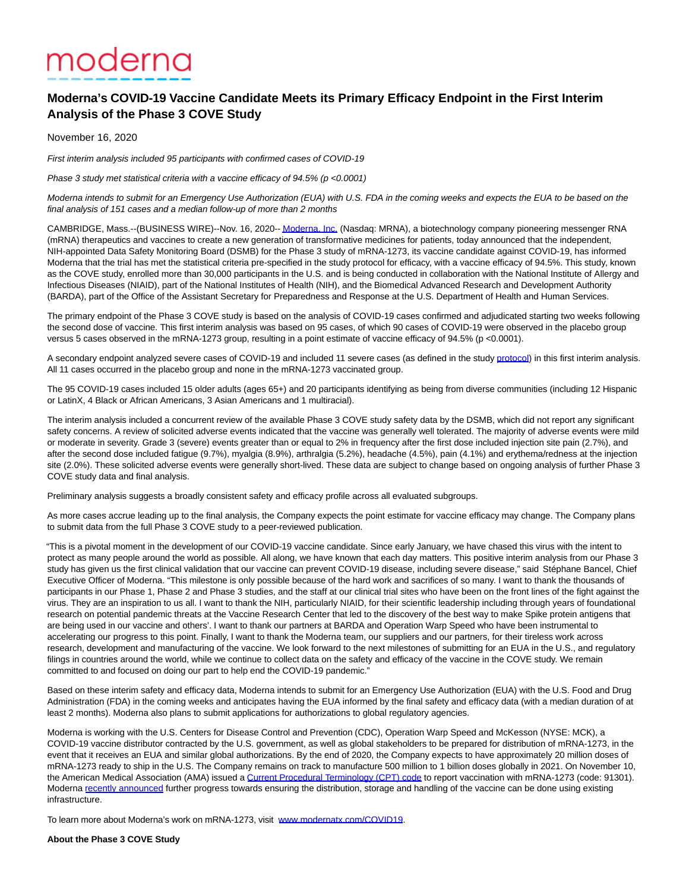## moderna

## **Moderna's COVID-19 Vaccine Candidate Meets its Primary Efficacy Endpoint in the First Interim Analysis of the Phase 3 COVE Study**

November 16, 2020

First interim analysis included 95 participants with confirmed cases of COVID-19

Phase 3 study met statistical criteria with a vaccine efficacy of 94.5% (p <0.0001)

Moderna intends to submit for an Emergency Use Authorization (EUA) with U.S. FDA in the coming weeks and expects the EUA to be based on the final analysis of 151 cases and a median follow-up of more than 2 months

CAMBRIDGE, Mass.--(BUSINESS WIRE)--Nov. 16, 2020-[- Moderna, Inc. \(](https://cts.businesswire.com/ct/CT?id=smartlink&url=http%3A%2F%2Fwww.modernatx.com%2F&esheet=52328447&newsitemid=20201116005608&lan=en-US&anchor=Moderna%2C+Inc.&index=1&md5=022d16c50381e56414be2bdd2e166198)Nasdaq: MRNA), a biotechnology company pioneering messenger RNA (mRNA) therapeutics and vaccines to create a new generation of transformative medicines for patients, today announced that the independent, NIH-appointed Data Safety Monitoring Board (DSMB) for the Phase 3 study of mRNA-1273, its vaccine candidate against COVID-19, has informed Moderna that the trial has met the statistical criteria pre-specified in the study protocol for efficacy, with a vaccine efficacy of 94.5%. This study, known as the COVE study, enrolled more than 30,000 participants in the U.S. and is being conducted in collaboration with the National Institute of Allergy and Infectious Diseases (NIAID), part of the National Institutes of Health (NIH), and the Biomedical Advanced Research and Development Authority (BARDA), part of the Office of the Assistant Secretary for Preparedness and Response at the U.S. Department of Health and Human Services.

The primary endpoint of the Phase 3 COVE study is based on the analysis of COVID-19 cases confirmed and adjudicated starting two weeks following the second dose of vaccine. This first interim analysis was based on 95 cases, of which 90 cases of COVID-19 were observed in the placebo group versus 5 cases observed in the mRNA-1273 group, resulting in a point estimate of vaccine efficacy of 94.5% (p <0.0001).

A secondary endpoint analyzed severe cases of COVID-19 and included 11 severe cases (as defined in the study [protocol\)](https://cts.businesswire.com/ct/CT?id=smartlink&url=https%3A%2F%2Fwww.modernatx.com%2Fsites%2Fdefault%2Ffiles%2FmRNA-1273-P301-Protocol.pdf&esheet=52328447&newsitemid=20201116005608&lan=en-US&anchor=protocol&index=2&md5=134f6e409d6a854b34e17792611f940d) in this first interim analysis. All 11 cases occurred in the placebo group and none in the mRNA-1273 vaccinated group.

The 95 COVID-19 cases included 15 older adults (ages 65+) and 20 participants identifying as being from diverse communities (including 12 Hispanic or LatinX, 4 Black or African Americans, 3 Asian Americans and 1 multiracial).

The interim analysis included a concurrent review of the available Phase 3 COVE study safety data by the DSMB, which did not report any significant safety concerns. A review of solicited adverse events indicated that the vaccine was generally well tolerated. The majority of adverse events were mild or moderate in severity. Grade 3 (severe) events greater than or equal to 2% in frequency after the first dose included injection site pain (2.7%), and after the second dose included fatigue (9.7%), myalgia (8.9%), arthralgia (5.2%), headache (4.5%), pain (4.1%) and erythema/redness at the injection site (2.0%). These solicited adverse events were generally short-lived. These data are subject to change based on ongoing analysis of further Phase 3 COVE study data and final analysis.

Preliminary analysis suggests a broadly consistent safety and efficacy profile across all evaluated subgroups.

As more cases accrue leading up to the final analysis, the Company expects the point estimate for vaccine efficacy may change. The Company plans to submit data from the full Phase 3 COVE study to a peer-reviewed publication.

"This is a pivotal moment in the development of our COVID-19 vaccine candidate. Since early January, we have chased this virus with the intent to protect as many people around the world as possible. All along, we have known that each day matters. This positive interim analysis from our Phase 3 study has given us the first clinical validation that our vaccine can prevent COVID-19 disease, including severe disease," said Stéphane Bancel, Chief Executive Officer of Moderna. "This milestone is only possible because of the hard work and sacrifices of so many. I want to thank the thousands of participants in our Phase 1, Phase 2 and Phase 3 studies, and the staff at our clinical trial sites who have been on the front lines of the fight against the virus. They are an inspiration to us all. I want to thank the NIH, particularly NIAID, for their scientific leadership including through years of foundational research on potential pandemic threats at the Vaccine Research Center that led to the discovery of the best way to make Spike protein antigens that are being used in our vaccine and others'. I want to thank our partners at BARDA and Operation Warp Speed who have been instrumental to accelerating our progress to this point. Finally, I want to thank the Moderna team, our suppliers and our partners, for their tireless work across research, development and manufacturing of the vaccine. We look forward to the next milestones of submitting for an EUA in the U.S., and regulatory filings in countries around the world, while we continue to collect data on the safety and efficacy of the vaccine in the COVE study. We remain committed to and focused on doing our part to help end the COVID-19 pandemic."

Based on these interim safety and efficacy data, Moderna intends to submit for an Emergency Use Authorization (EUA) with the U.S. Food and Drug Administration (FDA) in the coming weeks and anticipates having the EUA informed by the final safety and efficacy data (with a median duration of at least 2 months). Moderna also plans to submit applications for authorizations to global regulatory agencies.

Moderna is working with the U.S. Centers for Disease Control and Prevention (CDC), Operation Warp Speed and McKesson (NYSE: MCK), a COVID-19 vaccine distributor contracted by the U.S. government, as well as global stakeholders to be prepared for distribution of mRNA-1273, in the event that it receives an EUA and similar global authorizations. By the end of 2020, the Company expects to have approximately 20 million doses of mRNA-1273 ready to ship in the U.S. The Company remains on track to manufacture 500 million to 1 billion doses globally in 2021. On November 10, the American Medical Association (AMA) issued a [Current Procedural Terminology \(CPT\) code t](https://cts.businesswire.com/ct/CT?id=smartlink&url=https%3A%2F%2Fwww.ama-assn.org%2Fpress-center%2Fpress-releases%2Fama-announces-vaccine-specific-cpt-codes-coronavirus-immunizations&esheet=52328447&newsitemid=20201116005608&lan=en-US&anchor=Current+Procedural+Terminology+%28CPT%29+code&index=3&md5=d0e8880c368a7512ece00536481fe84b)o report vaccination with mRNA-1273 (code: 91301). Moderna [recently announced f](https://cts.businesswire.com/ct/CT?id=smartlink&url=https%3A%2F%2Finvestors.modernatx.com%2Fnews-releases&esheet=52328447&newsitemid=20201116005608&lan=en-US&anchor=recently+announced&index=4&md5=571b631e93f441eb238b5cf1198ebe98)urther progress towards ensuring the distribution, storage and handling of the vaccine can be done using existing infrastructure.

To learn more about Moderna's work on mRNA-1273, visit [www.modernatx.com/COVID19.](https://cts.businesswire.com/ct/CT?id=smartlink&url=http%3A%2F%2Fwww.modernatx.com%2FCOVID19&esheet=52328447&newsitemid=20201116005608&lan=en-US&anchor=www.modernatx.com%2FCOVID19&index=5&md5=aef9148965d6e99c32e1924d2e9af4f2)

**About the Phase 3 COVE Study**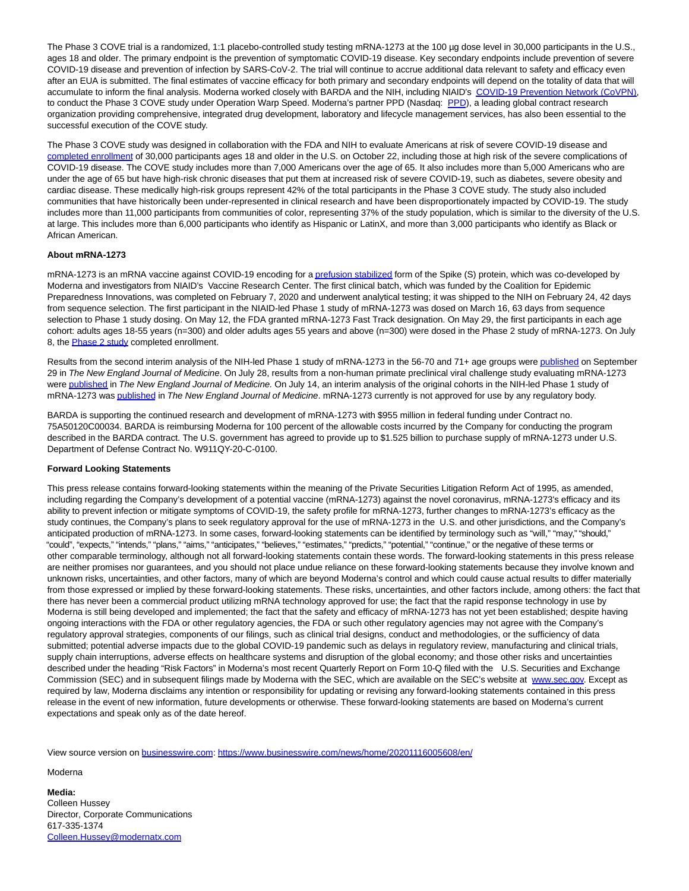The Phase 3 COVE trial is a randomized, 1:1 placebo-controlled study testing mRNA-1273 at the 100 µg dose level in 30,000 participants in the U.S., ages 18 and older. The primary endpoint is the prevention of symptomatic COVID-19 disease. Key secondary endpoints include prevention of severe COVID-19 disease and prevention of infection by SARS-CoV-2. The trial will continue to accrue additional data relevant to safety and efficacy even after an EUA is submitted. The final estimates of vaccine efficacy for both primary and secondary endpoints will depend on the totality of data that will accumulate to inform the final analysis. Moderna worked closely with BARDA and the NIH, including NIAID's [COVID-19 Prevention Network \(CoVPN\),](https://cts.businesswire.com/ct/CT?id=smartlink&url=https%3A%2F%2Fwww.coronaviruspreventionnetwork.org%2F&esheet=52328447&newsitemid=20201116005608&lan=en-US&anchor=COVID-19+Prevention+Network+%28CoVPN%29&index=6&md5=bb3c08d94b1876c555f5e8211cd65fd3) to conduct the Phase 3 COVE study under Operation Warp Speed. Moderna's partner PPD (Nasdaq: [PPD\)](https://cts.businesswire.com/ct/CT?id=smartlink&url=https%3A%2F%2Fwww.ppd.com%2F&esheet=52328447&newsitemid=20201116005608&lan=en-US&anchor=PPD&index=7&md5=227bf330916f7920fe040c118343c474), a leading global contract research organization providing comprehensive, integrated drug development, laboratory and lifecycle management services, has also been essential to the successful execution of the COVE study.

The Phase 3 COVE study was designed in collaboration with the FDA and NIH to evaluate Americans at risk of severe COVID-19 disease and [completed enrollment o](https://cts.businesswire.com/ct/CT?id=smartlink&url=https%3A%2F%2Finvestors.modernatx.com%2Fnews-releases%2Fnews-release-details%2Fmoderna-completes-enrollment-phase-3-cove-study-mrna-vaccine&esheet=52328447&newsitemid=20201116005608&lan=en-US&anchor=completed+enrollment&index=8&md5=d9ae93495f43296fb445bb767072b44b)f 30,000 participants ages 18 and older in the U.S. on October 22, including those at high risk of the severe complications of COVID-19 disease. The COVE study includes more than 7,000 Americans over the age of 65. It also includes more than 5,000 Americans who are under the age of 65 but have high-risk chronic diseases that put them at increased risk of severe COVID-19, such as diabetes, severe obesity and cardiac disease. These medically high-risk groups represent 42% of the total participants in the Phase 3 COVE study. The study also included communities that have historically been under-represented in clinical research and have been disproportionately impacted by COVID-19. The study includes more than 11,000 participants from communities of color, representing 37% of the study population, which is similar to the diversity of the U.S. at large. This includes more than 6,000 participants who identify as Hispanic or LatinX, and more than 3,000 participants who identify as Black or African American.

## **About mRNA-1273**

mRNA-1273 is an mRNA vaccine against COVID-19 encoding for [a prefusion stabilized f](https://cts.businesswire.com/ct/CT?id=smartlink&url=https%3A%2F%2Fwww.niaid.nih.gov%2Fnews-events%2Fatomic-structure-novel-coronavirus-protein&esheet=52328447&newsitemid=20201116005608&lan=en-US&anchor=prefusion+stabilized&index=9&md5=21d314573a4bfd8d7c65289fa42a462f)orm of the Spike (S) protein, which was co-developed by Moderna and investigators from NIAID's Vaccine Research Center. The first clinical batch, which was funded by the Coalition for Epidemic Preparedness Innovations, was completed on February 7, 2020 and underwent analytical testing; it was shipped to the NIH on February 24, 42 days from sequence selection. The first participant in the NIAID-led Phase 1 study of mRNA-1273 was dosed on March 16, 63 days from sequence selection to Phase 1 study dosing. On May 12, the FDA granted mRNA-1273 Fast Track designation. On May 29, the first participants in each age cohort: adults ages 18-55 years (n=300) and older adults ages 55 years and above (n=300) were dosed in the Phase 2 study of mRNA-1273. On July 8, the [Phase 2 study c](https://cts.businesswire.com/ct/CT?id=smartlink&url=https%3A%2F%2Finvestors.modernatx.com%2Fnews-releases%2Fnews-release-details%2Fmoderna-completes-enrollment-phase-2-study-its-mrna-vaccine&esheet=52328447&newsitemid=20201116005608&lan=en-US&anchor=Phase+2+study&index=10&md5=1f396d28348f7deff33a74d0f6fbff9b)ompleted enrollment.

Results from the second interim analysis of the NIH-led Phase 1 study of mRNA-1273 in the 56-70 and 71+ age groups wer[e published o](https://cts.businesswire.com/ct/CT?id=smartlink&url=https%3A%2F%2Finvestors.modernatx.com%2Fnews-releases%2Fnews-release-details%2Fmoderna-announces-publication-new-england-journal-medicine-0&esheet=52328447&newsitemid=20201116005608&lan=en-US&anchor=published&index=11&md5=4c7f7dbd3865dbe82926fd8f474882ce)n September 29 in The New England Journal of Medicine. On July 28, results from a non-human primate preclinical viral challenge study evaluating mRNA-1273 wer[e published i](https://cts.businesswire.com/ct/CT?id=smartlink&url=https%3A%2F%2Finvestors.modernatx.com%2Fnews-releases%2Fnews-release-details%2Fmoderna-announces-publication-new-england-journal-medicine-non&esheet=52328447&newsitemid=20201116005608&lan=en-US&anchor=published&index=12&md5=76b7190de904b79e516d13d71207b0ec)n The New England Journal of Medicine. On July 14, an interim analysis of the original cohorts in the NIH-led Phase 1 study of mRNA-1273 wa[s published i](https://cts.businesswire.com/ct/CT?id=smartlink&url=https%3A%2F%2Finvestors.modernatx.com%2Fnews-releases%2Fnews-release-details%2Fmoderna-announces-publication-new-england-journal-medicine&esheet=52328447&newsitemid=20201116005608&lan=en-US&anchor=published&index=13&md5=d161772a5a97523233423e9b7f51a035)n The New England Journal of Medicine. mRNA-1273 currently is not approved for use by any regulatory body.

BARDA is supporting the continued research and development of mRNA-1273 with \$955 million in federal funding under Contract no. 75A50120C00034. BARDA is reimbursing Moderna for 100 percent of the allowable costs incurred by the Company for conducting the program described in the BARDA contract. The U.S. government has agreed to provide up to \$1.525 billion to purchase supply of mRNA-1273 under U.S. Department of Defense Contract No. W911QY-20-C-0100.

## **Forward Looking Statements**

This press release contains forward-looking statements within the meaning of the Private Securities Litigation Reform Act of 1995, as amended, including regarding the Company's development of a potential vaccine (mRNA-1273) against the novel coronavirus, mRNA-1273's efficacy and its ability to prevent infection or mitigate symptoms of COVID-19, the safety profile for mRNA-1273, further changes to mRNA-1273's efficacy as the study continues, the Company's plans to seek regulatory approval for the use of mRNA-1273 in the U.S. and other jurisdictions, and the Company's anticipated production of mRNA-1273. In some cases, forward-looking statements can be identified by terminology such as "will," "may," "should," "could", "expects," "intends," "plans," "aims," "anticipates," "believes," "estimates," "predicts," "potential," "continue," or the negative of these terms or other comparable terminology, although not all forward-looking statements contain these words. The forward-looking statements in this press release are neither promises nor guarantees, and you should not place undue reliance on these forward-looking statements because they involve known and unknown risks, uncertainties, and other factors, many of which are beyond Moderna's control and which could cause actual results to differ materially from those expressed or implied by these forward-looking statements. These risks, uncertainties, and other factors include, among others: the fact that there has never been a commercial product utilizing mRNA technology approved for use; the fact that the rapid response technology in use by Moderna is still being developed and implemented; the fact that the safety and efficacy of mRNA-1273 has not yet been established; despite having ongoing interactions with the FDA or other regulatory agencies, the FDA or such other regulatory agencies may not agree with the Company's regulatory approval strategies, components of our filings, such as clinical trial designs, conduct and methodologies, or the sufficiency of data submitted; potential adverse impacts due to the global COVID-19 pandemic such as delays in regulatory review, manufacturing and clinical trials, supply chain interruptions, adverse effects on healthcare systems and disruption of the global economy; and those other risks and uncertainties described under the heading "Risk Factors" in Moderna's most recent Quarterly Report on Form 10-Q filed with the U.S. Securities and Exchange Commission (SEC) and in subsequent filings made by Moderna with the SEC, which are available on the SEC's website at [www.sec.gov.](https://cts.businesswire.com/ct/CT?id=smartlink&url=http%3A%2F%2Fwww.sec.gov&esheet=52328447&newsitemid=20201116005608&lan=en-US&anchor=www.sec.gov&index=14&md5=c40ed9642a42a6408d9a8ede39b05fca) Except as required by law, Moderna disclaims any intention or responsibility for updating or revising any forward-looking statements contained in this press release in the event of new information, future developments or otherwise. These forward-looking statements are based on Moderna's current expectations and speak only as of the date hereof.

View source version on [businesswire.com:](http://businesswire.com/)<https://www.businesswire.com/news/home/20201116005608/en/>

Moderna

**Media:** Colleen Hussey Director, Corporate Communications 617-335-1374 [Colleen.Hussey@modernatx.com](mailto:Colleen.Hussey@modernatx.com)